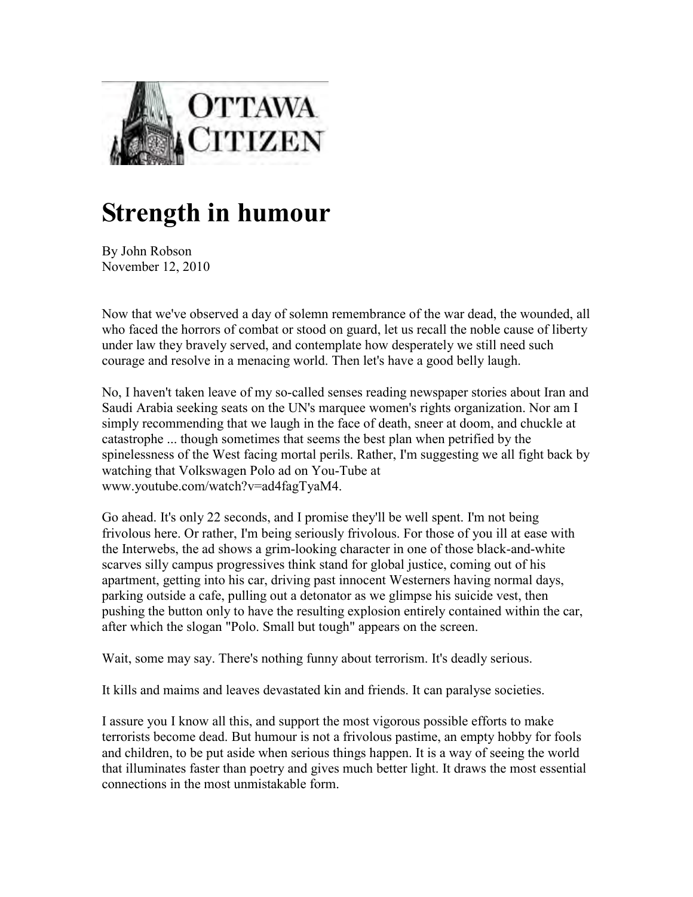

## **Strength in humour**

By John Robson November 12, 2010

Now that we've observed a day of solemn remembrance of the war dead, the wounded, all who faced the horrors of combat or stood on guard, let us recall the noble cause of liberty under law they bravely served, and contemplate how desperately we still need such courage and resolve in a menacing world. Then let's have a good belly laugh.

No, I haven't taken leave of my so-called senses reading newspaper stories about Iran and Saudi Arabia seeking seats on the UN's marquee women's rights organization. Nor am I simply recommending that we laugh in the face of death, sneer at doom, and chuckle at catastrophe ... though sometimes that seems the best plan when petrified by the spinelessness of the West facing mortal perils. Rather, I'm suggesting we all fight back by watching that Volkswagen Polo ad on You-Tube at www.youtube.com/watch?v=ad4fagTyaM4.

Go ahead. It's only 22 seconds, and I promise they'll be well spent. I'm not being frivolous here. Or rather, I'm being seriously frivolous. For those of you ill at ease with the Interwebs, the ad shows a grim-looking character in one of those black-and-white scarves silly campus progressives think stand for global justice, coming out of his apartment, getting into his car, driving past innocent Westerners having normal days, parking outside a cafe, pulling out a detonator as we glimpse his suicide vest, then pushing the button only to have the resulting explosion entirely contained within the car, after which the slogan "Polo. Small but tough" appears on the screen.

Wait, some may say. There's nothing funny about terrorism. It's deadly serious.

It kills and maims and leaves devastated kin and friends. It can paralyse societies.

I assure you I know all this, and support the most vigorous possible efforts to make terrorists become dead. But humour is not a frivolous pastime, an empty hobby for fools and children, to be put aside when serious things happen. It is a way of seeing the world that illuminates faster than poetry and gives much better light. It draws the most essential connections in the most unmistakable form.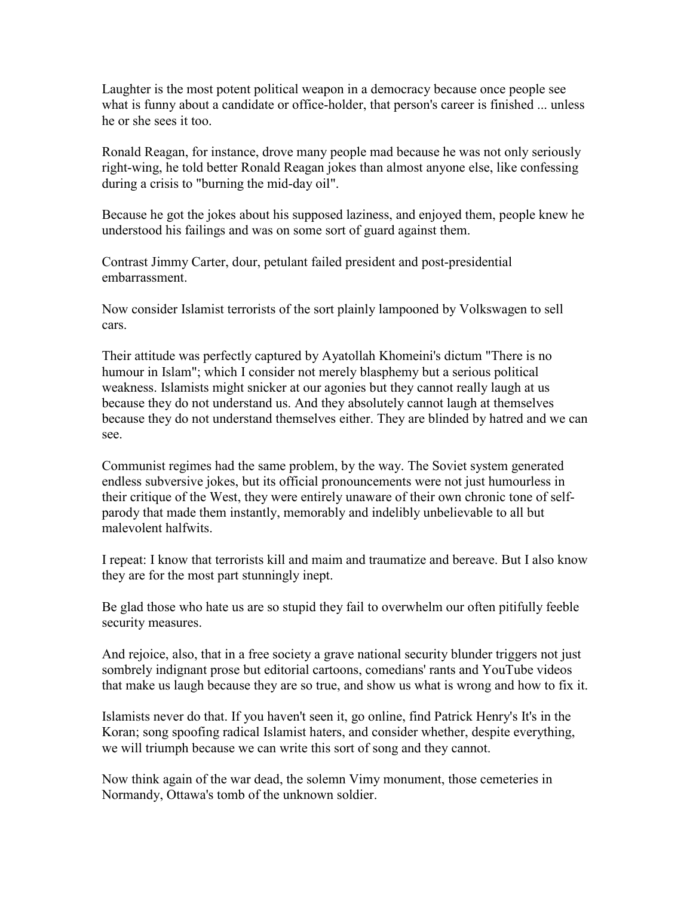Laughter is the most potent political weapon in a democracy because once people see what is funny about a candidate or office-holder, that person's career is finished ... unless he or she sees it too.

Ronald Reagan, for instance, drove many people mad because he was not only seriously right-wing, he told better Ronald Reagan jokes than almost anyone else, like confessing during a crisis to "burning the mid-day oil".

Because he got the jokes about his supposed laziness, and enjoyed them, people knew he understood his failings and was on some sort of guard against them.

Contrast Jimmy Carter, dour, petulant failed president and post-presidential embarrassment.

Now consider Islamist terrorists of the sort plainly lampooned by Volkswagen to sell cars.

Their attitude was perfectly captured by Ayatollah Khomeini's dictum "There is no humour in Islam"; which I consider not merely blasphemy but a serious political weakness. Islamists might snicker at our agonies but they cannot really laugh at us because they do not understand us. And they absolutely cannot laugh at themselves because they do not understand themselves either. They are blinded by hatred and we can see.

Communist regimes had the same problem, by the way. The Soviet system generated endless subversive jokes, but its official pronouncements were not just humourless in their critique of the West, they were entirely unaware of their own chronic tone of selfparody that made them instantly, memorably and indelibly unbelievable to all but malevolent halfwits.

I repeat: I know that terrorists kill and maim and traumatize and bereave. But I also know they are for the most part stunningly inept.

Be glad those who hate us are so stupid they fail to overwhelm our often pitifully feeble security measures.

And rejoice, also, that in a free society a grave national security blunder triggers not just sombrely indignant prose but editorial cartoons, comedians' rants and YouTube videos that make us laugh because they are so true, and show us what is wrong and how to fix it.

Islamists never do that. If you haven't seen it, go online, find Patrick Henry's It's in the Koran; song spoofing radical Islamist haters, and consider whether, despite everything, we will triumph because we can write this sort of song and they cannot.

Now think again of the war dead, the solemn Vimy monument, those cemeteries in Normandy, Ottawa's tomb of the unknown soldier.